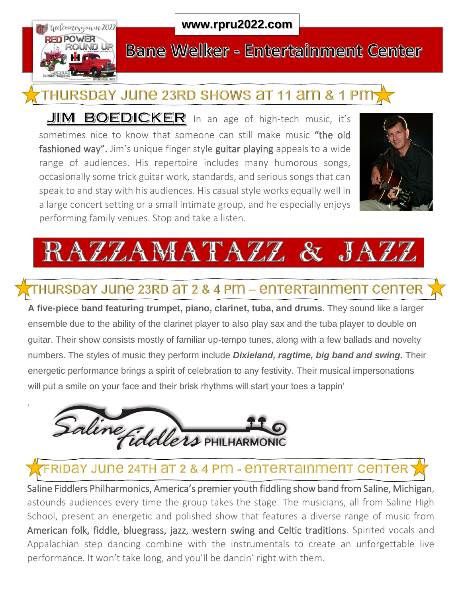

.

#### **www.rpru2022.com**

## **Bane Welker - Entertainment Center**

# THURSDAY JUNE 23RD SHOWS AT 11 AM & 1 PM

**JIM BOEDICKER** In an age of high-tech music, it's sometimes nice to know that someone can still make music "the old fashioned way". Jim's unique finger style guitar playing appeals to a wide range of audiences. His repertoire includes many humorous songs, occasionally some trick guitar work, standards, and serious songs that can speak to and stay with his audiences. His casual style works equally well in a large concert setting or a small intimate group, and he especially enjoys performing family venues. Stop and take a listen.





### THURSDAY JUNE 23RD AT 2 & 4 PM – ENTERTAINMENT CENTER

**A five-piece band featuring trumpet, piano, clarinet, tuba, and drums**. They sound like a larger ensemble due to the ability of the clarinet player to also play sax and the tuba player to double on guitar. Their show consists mostly of familiar up-tempo tunes, along with a few ballads and novelty numbers. The styles of music they perform include *Dixieland, ragtime, big band and swing***.** Their energetic performance brings a spirit of celebration to any festivity. Their musical impersonations will put a smile on your face and their brisk rhythms will start your toes a tappin'



### FRIDAY JUNE 24TH AT 2 & 4 PM - ENTERTAINMENT CENTER

Saline Fiddlers Philharmonics, America's premier youth fiddling show band from Saline, Michigan, astounds audiences every time the group takes the stage. The musicians, all from Saline High School, present an energetic and polished show that features a diverse range of music from American folk, fiddle, bluegrass, jazz, western swing and Celtic traditions. Spirited vocals and Appalachian step dancing combine with the instrumentals to create an unforgettable live performance. It won't take long, and you'll be dancin' right with them.